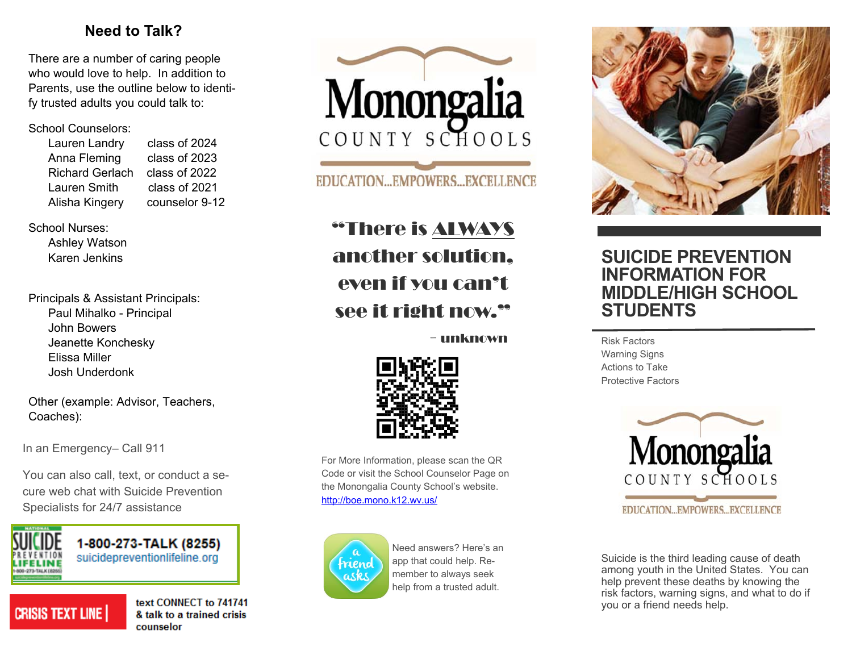## **Need to Talk?**

There are a number of caring people who would love to help. In addition to Parents, use the outline below to identify trusted adults you could talk to:

#### School Counselors:

| Lauren Landry          | class of 2024  |
|------------------------|----------------|
| Anna Fleming           | class of 2023  |
| <b>Richard Gerlach</b> | class of 2022  |
| <b>Lauren Smith</b>    | class of 2021  |
| Alisha Kingery         | counselor 9-12 |
|                        |                |

School Nurses:

 Ashley Watson Karen Jenkins

Principals & Assistant Principals: Paul Mihalko - Principal John Bowers Jeanette Konchesky Elissa Miller Josh Underdonk

Other (example: Advisor, Teachers, Coaches):

In an Emergency– Call 911

You can also call, text, or conduct a secure web chat with Suicide Prevention Specialists for 24/7 assistance



1-800-273-TALK (8255) suicidepreventionlifeline.org

# **CRISIS TEXT LINE**

text CONNECT to 741741 & talk to a trained crisis counselor



**EDUCATION...EMPOWERS...EXCELLENCE** 

"There is ALWAYS another solution, even if you can't see it right now."

- unknown



For More Information, please scan the QR Code or visit the School Counselor Page on the Monongalia County School's website. http://boe.mono.k12.wv.us/



Need answers? Here's an app that could help. Remember to always seek help from a trusted adult.



## **SUICIDE PREVENTION INFORMATION FOR MIDDLE/HIGH SCHOOL STUDENTS**

Risk Factors Warning Signs Actions to Take Protective Factors



**EDUCATION...EMPOWERS...EXCELLENCE** 

Suicide is the third leading cause of death among youth in the United States. You can help prevent these deaths by knowing the risk factors, warning signs, and what to do if you or a friend needs help.